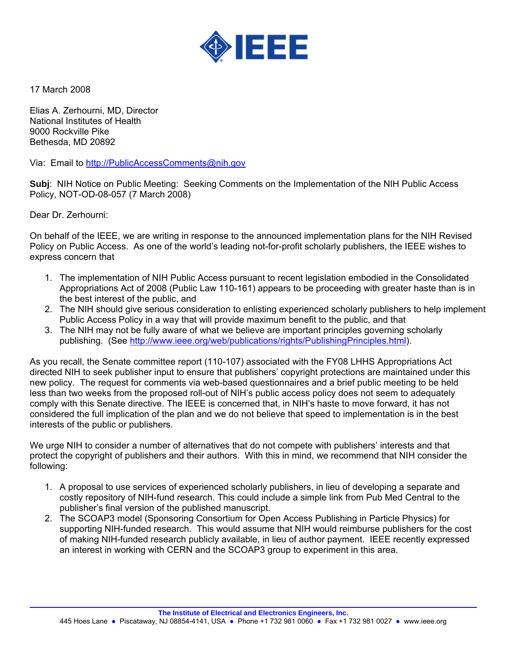

17 March 2008

Elias A. Zerhourni, MD, Director National Institutes of Health 9000 Rockville Pike Bethesda, MD 20892

Via: Email to http://Publi[cAccessComments@nih.gov](mailto:AccessComments@nih.gov)

**Subj**: NIH Notice on Public Meeting: Seeking Comments on the Implementation of the NIH Public Access Policy, NOT-OD-08-057 (7 March 2008)

Dear Dr. Zerhourni:

On behalf of the IEEE, we are writing in response to the announced implementation plans for the NIH Revised Policy on Public Access. As one of the world's leading not-for-profit scholarly publishers, the IEEE wishes to express concern that

- 1. The implementation of NIH Public Access pursuant to recent legislation embodied in the Consolidated Appropriations Act of 2008 (Public Law 110-161) appears to be proceeding with greater haste than is in the best interest of the public, and
- 2. The NIH should give serious consideration to enlisting experienced scholarly publishers to help implement Public Access Policy in a way that will provide maximum benefit to the public, and that
- 3. The NIH may not be fully aware of what we believe are important principles governing scholarly publishing. (See [http://www.ieee.org/web/publications/rights/PublishingPrinciples.html\)](http://www.ieee.org/web/publications/rights/PublishingPrinciples.html).

As you recall, the Senate committee report (110-107) associated with the FY08 LHHS Appropriations Act directed NIH to seek publisher input to ensure that publishers' copyright protections are maintained under this new policy. The request for comments via web-based questionnaires and a brief public meeting to be held less than two weeks from the proposed roll-out of NIH's public access policy does not seem to adequately comply with this Senate directive. The IEEE is concerned that, in NIH's haste to move forward, it has not considered the full implication of the plan and we do not believe that speed to implementation is in the best interests of the public or publishers.

We urge NIH to consider a number of alternatives that do not compete with publishers' interests and that protect the copyright of publishers and their authors. With this in mind, we recommend that NIH consider the following:

- 1. A proposal to use services of experienced scholarly publishers, in lieu of developing a separate and costly repository of NIH-fund research. This could include a simple link from Pub Med Central to the publisher's final version of the published manuscript.
- 2. The SCOAP3 model (Sponsoring Consortium for Open Access Publishing in Particle Physics) for supporting NIH-funded research. This would assume that NIH would reimburse publishers for the cost of making NIH-funded research publicly available, in lieu of author payment. IEEE recently expressed an interest in working with CERN and the SCOAP3 group to experiment in this area.